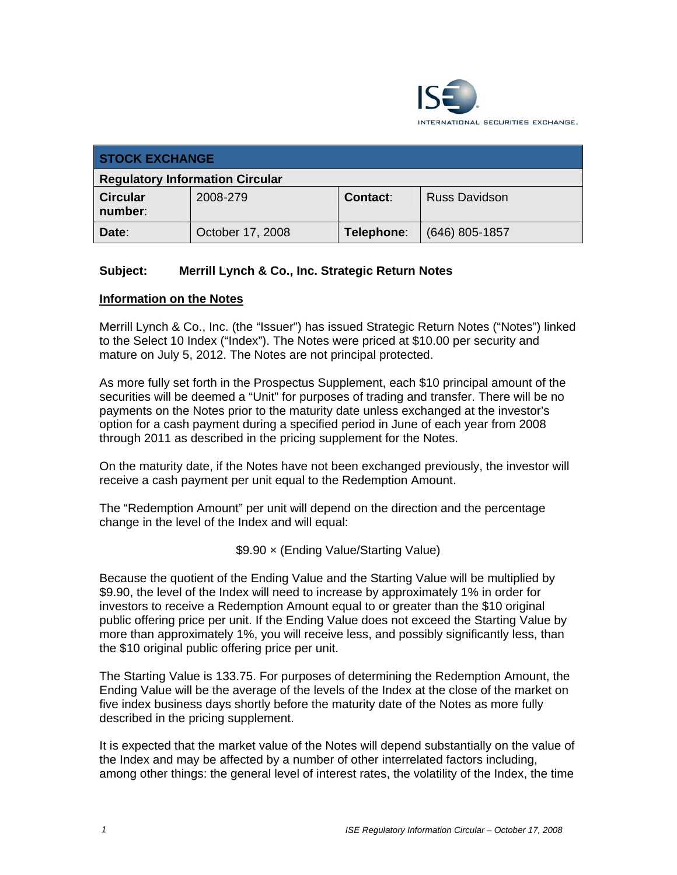

| <b>STOCK EXCHANGE</b>                  |                  |            |                      |  |
|----------------------------------------|------------------|------------|----------------------|--|
| <b>Regulatory Information Circular</b> |                  |            |                      |  |
| <b>Circular</b><br>number:             | 2008-279         | Contact:   | <b>Russ Davidson</b> |  |
| Date:                                  | October 17, 2008 | Telephone: | $(646)$ 805-1857     |  |

## **Subject: Merrill Lynch & Co., Inc. Strategic Return Notes**

## **Information on the Notes**

Merrill Lynch & Co., Inc. (the "Issuer") has issued Strategic Return Notes ("Notes") linked to the Select 10 Index ("Index"). The Notes were priced at \$10.00 per security and mature on July 5, 2012. The Notes are not principal protected.

As more fully set forth in the Prospectus Supplement, each \$10 principal amount of the securities will be deemed a "Unit" for purposes of trading and transfer. There will be no payments on the Notes prior to the maturity date unless exchanged at the investor's option for a cash payment during a specified period in June of each year from 2008 through 2011 as described in the pricing supplement for the Notes.

On the maturity date, if the Notes have not been exchanged previously, the investor will receive a cash payment per unit equal to the Redemption Amount.

The "Redemption Amount" per unit will depend on the direction and the percentage change in the level of the Index and will equal:

\$9.90 × (Ending Value/Starting Value)

Because the quotient of the Ending Value and the Starting Value will be multiplied by \$9.90, the level of the Index will need to increase by approximately 1% in order for investors to receive a Redemption Amount equal to or greater than the \$10 original public offering price per unit. If the Ending Value does not exceed the Starting Value by more than approximately 1%, you will receive less, and possibly significantly less, than the \$10 original public offering price per unit.

The Starting Value is 133.75. For purposes of determining the Redemption Amount, the Ending Value will be the average of the levels of the Index at the close of the market on five index business days shortly before the maturity date of the Notes as more fully described in the pricing supplement.

It is expected that the market value of the Notes will depend substantially on the value of the Index and may be affected by a number of other interrelated factors including, among other things: the general level of interest rates, the volatility of the Index, the time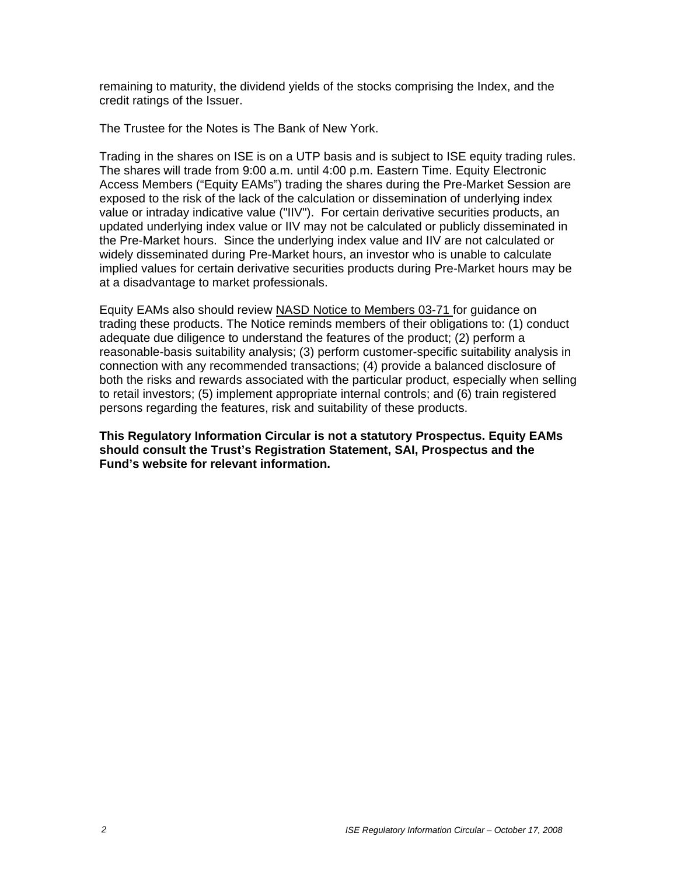remaining to maturity, the dividend yields of the stocks comprising the Index, and the credit ratings of the Issuer.

The Trustee for the Notes is The Bank of New York.

Trading in the shares on ISE is on a UTP basis and is subject to ISE equity trading rules. The shares will trade from 9:00 a.m. until 4:00 p.m. Eastern Time. Equity Electronic Access Members ("Equity EAMs") trading the shares during the Pre-Market Session are exposed to the risk of the lack of the calculation or dissemination of underlying index value or intraday indicative value ("IIV"). For certain derivative securities products, an updated underlying index value or IIV may not be calculated or publicly disseminated in the Pre-Market hours. Since the underlying index value and IIV are not calculated or widely disseminated during Pre-Market hours, an investor who is unable to calculate implied values for certain derivative securities products during Pre-Market hours may be at a disadvantage to market professionals.

Equity EAMs also should review NASD Notice to Members 03-71 for guidance on trading these products. The Notice reminds members of their obligations to: (1) conduct adequate due diligence to understand the features of the product; (2) perform a reasonable-basis suitability analysis; (3) perform customer-specific suitability analysis in connection with any recommended transactions; (4) provide a balanced disclosure of both the risks and rewards associated with the particular product, especially when selling to retail investors; (5) implement appropriate internal controls; and (6) train registered persons regarding the features, risk and suitability of these products.

**This Regulatory Information Circular is not a statutory Prospectus. Equity EAMs should consult the Trust's Registration Statement, SAI, Prospectus and the Fund's website for relevant information.**